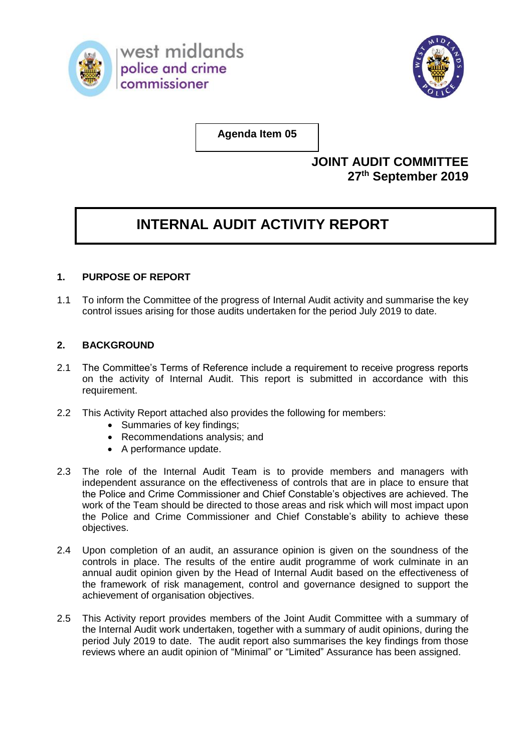



**Agenda Item 05**

## **JOINT AUDIT COMMITTEE 27 th September 2019**

## **INTERNAL AUDIT ACTIVITY REPORT**

## **1. PURPOSE OF REPORT**

1.1 To inform the Committee of the progress of Internal Audit activity and summarise the key control issues arising for those audits undertaken for the period July 2019 to date.

## **2. BACKGROUND**

- 2.1 The Committee's Terms of Reference include a requirement to receive progress reports on the activity of Internal Audit. This report is submitted in accordance with this requirement.
- 2.2 This Activity Report attached also provides the following for members:
	- Summaries of key findings;
	- Recommendations analysis; and
	- A performance update.
- 2.3 The role of the Internal Audit Team is to provide members and managers with independent assurance on the effectiveness of controls that are in place to ensure that the Police and Crime Commissioner and Chief Constable's objectives are achieved. The work of the Team should be directed to those areas and risk which will most impact upon the Police and Crime Commissioner and Chief Constable's ability to achieve these objectives.
- 2.4 Upon completion of an audit, an assurance opinion is given on the soundness of the controls in place. The results of the entire audit programme of work culminate in an annual audit opinion given by the Head of Internal Audit based on the effectiveness of the framework of risk management, control and governance designed to support the achievement of organisation objectives.
- 2.5 This Activity report provides members of the Joint Audit Committee with a summary of the Internal Audit work undertaken, together with a summary of audit opinions, during the period July 2019 to date. The audit report also summarises the key findings from those reviews where an audit opinion of "Minimal" or "Limited" Assurance has been assigned.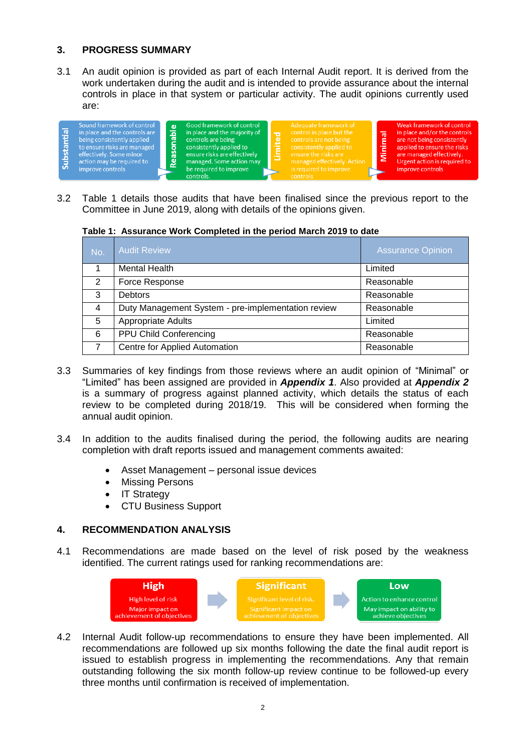## **3. PROGRESS SUMMARY**

3.1 An audit opinion is provided as part of each Internal Audit report. It is derived from the work undertaken during the audit and is intended to provide assurance about the internal controls in place in that system or particular activity. The audit opinions currently used are:



3.2 Table 1 details those audits that have been finalised since the previous report to the Committee in June 2019, along with details of the opinions given.

**Table 1: Assurance Work Completed in the period March 2019 to date**

| No.            | <b>Audit Review</b>                                | <b>Assurance Opinion</b> |
|----------------|----------------------------------------------------|--------------------------|
|                | Mental Health                                      | Limited                  |
| 2              | Force Response                                     | Reasonable               |
| 3              | <b>Debtors</b>                                     | Reasonable               |
| $\overline{4}$ | Duty Management System - pre-implementation review | Reasonable               |
| 5              | Appropriate Adults                                 | Limited                  |
| 6              | PPU Child Conferencing                             | Reasonable               |
|                | Centre for Applied Automation                      | Reasonable               |

- 3.3 Summaries of key findings from those reviews where an audit opinion of "Minimal" or "Limited" has been assigned are provided in *Appendix 1*. Also provided at *Appendix 2*  is a summary of progress against planned activity, which details the status of each review to be completed during 2018/19. This will be considered when forming the annual audit opinion.
- 3.4 In addition to the audits finalised during the period, the following audits are nearing completion with draft reports issued and management comments awaited:
	- Asset Management personal issue devices
	- Missing Persons
	- IT Strategy
	- CTU Business Support

## **4. RECOMMENDATION ANALYSIS**

4.1 Recommendations are made based on the level of risk posed by the weakness identified. The current ratings used for ranking recommendations are:



4.2 Internal Audit follow-up recommendations to ensure they have been implemented. All recommendations are followed up six months following the date the final audit report is issued to establish progress in implementing the recommendations. Any that remain outstanding following the six month follow-up review continue to be followed-up every three months until confirmation is received of implementation.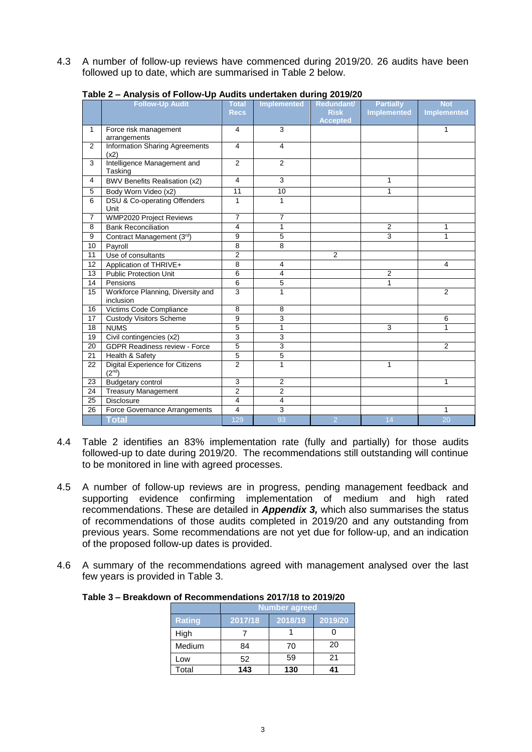4.3 A number of follow-up reviews have commenced during 2019/20. 26 audits have been followed up to date, which are summarised in Table 2 below.

|                | $1$ abic 2 – Anarysis or Follow-Op Addits dhackakon daring 2019/20<br><b>Follow-Up Audit</b> | <b>Total</b>   | Implemented             | Redundant/      | <b>Partially</b>   | <b>Not</b>         |
|----------------|----------------------------------------------------------------------------------------------|----------------|-------------------------|-----------------|--------------------|--------------------|
|                |                                                                                              | <b>Recs</b>    |                         | <b>Risk</b>     | <b>Implemented</b> | <b>Implemented</b> |
|                |                                                                                              |                |                         | <b>Accepted</b> |                    |                    |
| $\mathbf{1}$   | Force risk management                                                                        | 4              | 3                       |                 |                    | 1                  |
|                | arrangements                                                                                 |                |                         |                 |                    |                    |
| 2              | <b>Information Sharing Agreements</b><br>(x2)                                                | $\overline{4}$ | 4                       |                 |                    |                    |
| 3              | Intelligence Management and<br>Tasking                                                       | 2              | 2                       |                 |                    |                    |
| 4              | <b>BWV Benefits Realisation (x2)</b>                                                         | 4              | 3                       |                 | 1                  |                    |
| 5              | Body Worn Video (x2)                                                                         | 11             | 10                      |                 | 1                  |                    |
| 6              | <b>DSU &amp; Co-operating Offenders</b><br>Unit                                              | 1              | $\mathbf{1}$            |                 |                    |                    |
| $\overline{7}$ | WMP2020 Project Reviews                                                                      | $\overline{7}$ | 7                       |                 |                    |                    |
| 8              | <b>Bank Reconciliation</b>                                                                   | 4              | 1                       |                 | $\overline{2}$     | 1                  |
| 9              | Contract Management (3rd)                                                                    | 9              | $\overline{5}$          |                 | 3                  | $\mathbf{1}$       |
| 10             | Payroll                                                                                      | 8              | 8                       |                 |                    |                    |
| 11             | Use of consultants                                                                           | $\overline{2}$ |                         | $\overline{2}$  |                    |                    |
| 12             | Application of THRIVE+                                                                       | 8              | 4                       |                 |                    | 4                  |
| 13             | <b>Public Protection Unit</b>                                                                | 6              | 4                       |                 | $\overline{2}$     |                    |
| 14             | Pensions                                                                                     | 6              | 5                       |                 | $\mathbf{1}$       |                    |
| 15             | Workforce Planning, Diversity and<br>inclusion                                               | $\overline{3}$ | 1                       |                 |                    | 2                  |
| 16             | Victims Code Compliance                                                                      | 8              | 8                       |                 |                    |                    |
| 17             | <b>Custody Visitors Scheme</b>                                                               | 9              | 3                       |                 |                    | 6                  |
| 18             | <b>NUMS</b>                                                                                  | 5              | $\overline{1}$          |                 | 3                  | $\overline{1}$     |
| 19             | Civil contingencies (x2)                                                                     | 3              | 3                       |                 |                    |                    |
| 20             | <b>GDPR Readiness review - Force</b>                                                         | $\overline{5}$ | $\overline{3}$          |                 |                    | $\overline{2}$     |
| 21             | Health & Safety                                                                              | 5              | $\overline{5}$          |                 |                    |                    |
| 22             | <b>Digital Experience for Citizens</b><br>(2 <sup>nd</sup> )                                 | $\overline{2}$ | $\overline{1}$          |                 | 1                  |                    |
| 23             | Budgetary control                                                                            | 3              | $\overline{\mathbf{c}}$ |                 |                    | 1                  |
| 24             | <b>Treasury Management</b>                                                                   | $\overline{2}$ | $\overline{2}$          |                 |                    |                    |
| 25             | <b>Disclosure</b>                                                                            | $\overline{4}$ | $\overline{4}$          |                 |                    |                    |
| 26             | Force Governance Arrangements                                                                | 4              | 3                       |                 |                    | 1                  |
|                | <b>Total</b>                                                                                 | 129            | 93                      | $\overline{2}$  | 14                 | 20                 |

### **Table 2 – Analysis of Follow-Up Audits undertaken during 2019/20**

- 4.4 Table 2 identifies an 83% implementation rate (fully and partially) for those audits followed-up to date during 2019/20. The recommendations still outstanding will continue to be monitored in line with agreed processes.
- 4.5 A number of follow-up reviews are in progress, pending management feedback and supporting evidence confirming implementation of medium and high rated recommendations. These are detailed in *Appendix 3,* which also summarises the status of recommendations of those audits completed in 2019/20 and any outstanding from previous years. Some recommendations are not yet due for follow-up, and an indication of the proposed follow-up dates is provided.
- 4.6 A summary of the recommendations agreed with management analysed over the last few years is provided in Table 3.

|               | <b>Number agreed</b> |         |         |  |  |  |  |  |  |  |
|---------------|----------------------|---------|---------|--|--|--|--|--|--|--|
| <b>Rating</b> | 2017/18              | 2018/19 | 2019/20 |  |  |  |  |  |  |  |
| High          |                      |         |         |  |  |  |  |  |  |  |
| Medium        | 84                   | 70      | 20      |  |  |  |  |  |  |  |
| Low           | 52                   | 59      | 21      |  |  |  |  |  |  |  |
| Total         | 143                  | 130     |         |  |  |  |  |  |  |  |

#### **Table 3 – Breakdown of Recommendations 2017/18 to 2019/20**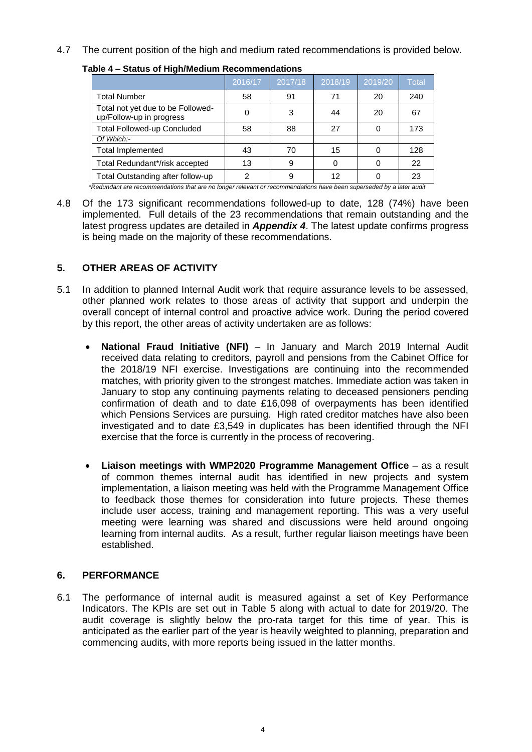4.7 The current position of the high and medium rated recommendations is provided below.

| -                                                                                                                   |         |         |         |         |              |  |  |  |  |  |
|---------------------------------------------------------------------------------------------------------------------|---------|---------|---------|---------|--------------|--|--|--|--|--|
|                                                                                                                     | 2016/17 | 2017/18 | 2018/19 | 2019/20 | <b>Total</b> |  |  |  |  |  |
| <b>Total Number</b>                                                                                                 | 58      | 91      | 71      | 20      | 240          |  |  |  |  |  |
| Total not yet due to be Followed-<br>up/Follow-up in progress                                                       | 0       | 3       | 44      | 20      | 67           |  |  |  |  |  |
| <b>Total Followed-up Concluded</b>                                                                                  | 58      | 88      | 27      |         | 173          |  |  |  |  |  |
| Of Which:-                                                                                                          |         |         |         |         |              |  |  |  |  |  |
| <b>Total Implemented</b>                                                                                            | 43      | 70      | 15      |         | 128          |  |  |  |  |  |
| Total Redundant*/risk accepted                                                                                      | 13      | 9       |         |         | 22           |  |  |  |  |  |
| Total Outstanding after follow-up                                                                                   | 2       | 9       | 12      |         | 23           |  |  |  |  |  |
| *Redundant are recommendations that are no longer relevant or recommendations have been superseded by a later audit |         |         |         |         |              |  |  |  |  |  |

**Table 4 – Status of High/Medium Recommendations**

4.8 Of the 173 significant recommendations followed-up to date, 128 (74%) have been implemented. Full details of the 23 recommendations that remain outstanding and the latest progress updates are detailed in *Appendix 4*. The latest update confirms progress is being made on the majority of these recommendations.

## **5. OTHER AREAS OF ACTIVITY**

- 5.1 In addition to planned Internal Audit work that require assurance levels to be assessed, other planned work relates to those areas of activity that support and underpin the overall concept of internal control and proactive advice work. During the period covered by this report, the other areas of activity undertaken are as follows:
	- **National Fraud Initiative (NFI)** In January and March 2019 Internal Audit received data relating to creditors, payroll and pensions from the Cabinet Office for the 2018/19 NFI exercise. Investigations are continuing into the recommended matches, with priority given to the strongest matches. Immediate action was taken in January to stop any continuing payments relating to deceased pensioners pending confirmation of death and to date £16,098 of overpayments has been identified which Pensions Services are pursuing. High rated creditor matches have also been investigated and to date £3,549 in duplicates has been identified through the NFI exercise that the force is currently in the process of recovering.
	- **Liaison meetings with WMP2020 Programme Management Office** as a result of common themes internal audit has identified in new projects and system implementation, a liaison meeting was held with the Programme Management Office to feedback those themes for consideration into future projects. These themes include user access, training and management reporting. This was a very useful meeting were learning was shared and discussions were held around ongoing learning from internal audits. As a result, further regular liaison meetings have been established.

## **6. PERFORMANCE**

6.1 The performance of internal audit is measured against a set of Key Performance Indicators. The KPIs are set out in Table 5 along with actual to date for 2019/20. The audit coverage is slightly below the pro-rata target for this time of year. This is anticipated as the earlier part of the year is heavily weighted to planning, preparation and commencing audits, with more reports being issued in the latter months.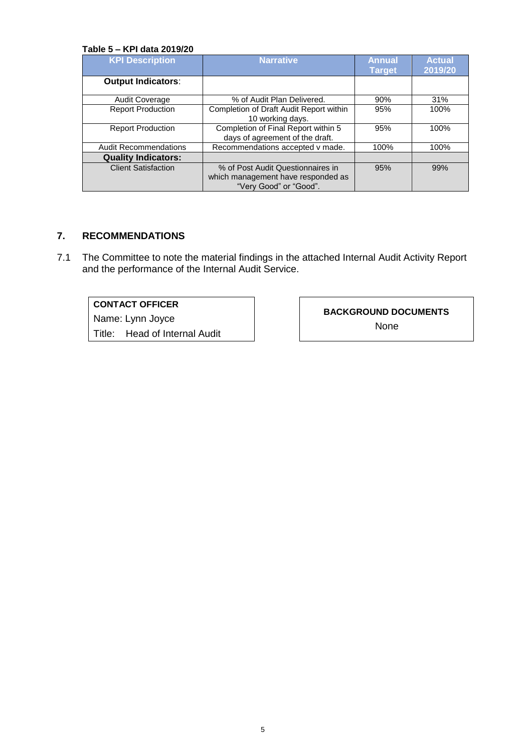#### **Table 5 – KPI data 2019/20**

| <b>KPI Description</b>       | <b>Narrative</b>                                                                                  | <b>Annual</b><br><b>Target</b> | <b>Actual</b><br>2019/20 |
|------------------------------|---------------------------------------------------------------------------------------------------|--------------------------------|--------------------------|
| <b>Output Indicators:</b>    |                                                                                                   |                                |                          |
| <b>Audit Coverage</b>        | % of Audit Plan Delivered.                                                                        | 90%                            | 31%                      |
| <b>Report Production</b>     | Completion of Draft Audit Report within<br>10 working days.                                       | 95%                            | 100%                     |
| <b>Report Production</b>     | Completion of Final Report within 5<br>days of agreement of the draft.                            | 95%                            | 100%                     |
| <b>Audit Recommendations</b> | Recommendations accepted v made.                                                                  | 100%                           | 100%                     |
| <b>Quality Indicators:</b>   |                                                                                                   |                                |                          |
| <b>Client Satisfaction</b>   | % of Post Audit Questionnaires in<br>which management have responded as<br>"Very Good" or "Good". | 95%                            | 99%                      |

## **7. RECOMMENDATIONS**

7.1 The Committee to note the material findings in the attached Internal Audit Activity Report and the performance of the Internal Audit Service.

## **CONTACT OFFICER**

Name: Lynn Joyce

Title: Head of Internal Audit

**BACKGROUND DOCUMENTS**

None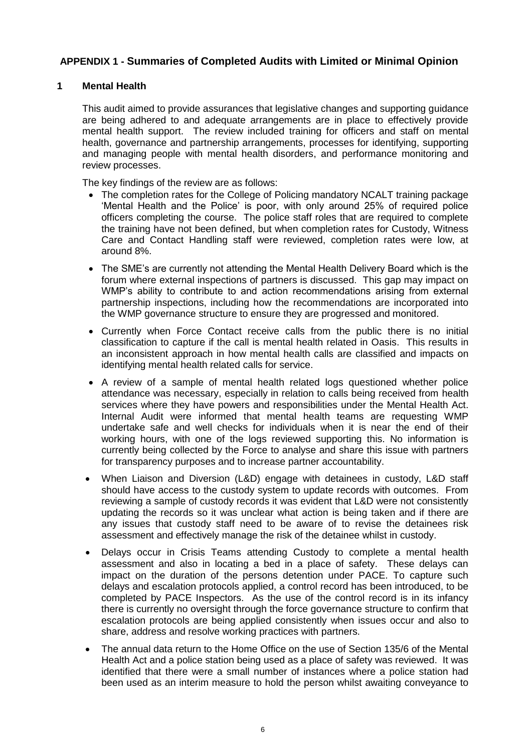## **APPENDIX 1 - Summaries of Completed Audits with Limited or Minimal Opinion**

### **1 Mental Health**

This audit aimed to provide assurances that legislative changes and supporting guidance are being adhered to and adequate arrangements are in place to effectively provide mental health support. The review included training for officers and staff on mental health, governance and partnership arrangements, processes for identifying, supporting and managing people with mental health disorders, and performance monitoring and review processes.

The key findings of the review are as follows:

- The completion rates for the College of Policing mandatory NCALT training package 'Mental Health and the Police' is poor, with only around 25% of required police officers completing the course. The police staff roles that are required to complete the training have not been defined, but when completion rates for Custody, Witness Care and Contact Handling staff were reviewed, completion rates were low, at around 8%.
- The SME's are currently not attending the Mental Health Delivery Board which is the forum where external inspections of partners is discussed. This gap may impact on WMP's ability to contribute to and action recommendations arising from external partnership inspections, including how the recommendations are incorporated into the WMP governance structure to ensure they are progressed and monitored.
- Currently when Force Contact receive calls from the public there is no initial classification to capture if the call is mental health related in Oasis. This results in an inconsistent approach in how mental health calls are classified and impacts on identifying mental health related calls for service.
- A review of a sample of mental health related logs questioned whether police attendance was necessary, especially in relation to calls being received from health services where they have powers and responsibilities under the Mental Health Act. Internal Audit were informed that mental health teams are requesting WMP undertake safe and well checks for individuals when it is near the end of their working hours, with one of the logs reviewed supporting this. No information is currently being collected by the Force to analyse and share this issue with partners for transparency purposes and to increase partner accountability.
- When Liaison and Diversion (L&D) engage with detainees in custody, L&D staff should have access to the custody system to update records with outcomes. From reviewing a sample of custody records it was evident that L&D were not consistently updating the records so it was unclear what action is being taken and if there are any issues that custody staff need to be aware of to revise the detainees risk assessment and effectively manage the risk of the detainee whilst in custody.
- Delays occur in Crisis Teams attending Custody to complete a mental health assessment and also in locating a bed in a place of safety. These delays can impact on the duration of the persons detention under PACE. To capture such delays and escalation protocols applied, a control record has been introduced, to be completed by PACE Inspectors. As the use of the control record is in its infancy there is currently no oversight through the force governance structure to confirm that escalation protocols are being applied consistently when issues occur and also to share, address and resolve working practices with partners.
- The annual data return to the Home Office on the use of Section 135/6 of the Mental Health Act and a police station being used as a place of safety was reviewed. It was identified that there were a small number of instances where a police station had been used as an interim measure to hold the person whilst awaiting conveyance to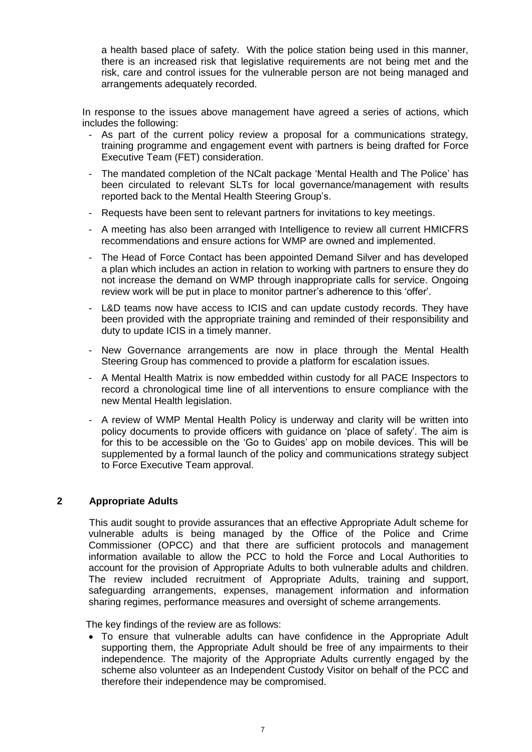a health based place of safety. With the police station being used in this manner, there is an increased risk that legislative requirements are not being met and the risk, care and control issues for the vulnerable person are not being managed and arrangements adequately recorded.

In response to the issues above management have agreed a series of actions, which includes the following:

- As part of the current policy review a proposal for a communications strategy, training programme and engagement event with partners is being drafted for Force Executive Team (FET) consideration.
- The mandated completion of the NCalt package 'Mental Health and The Police' has been circulated to relevant SLTs for local governance/management with results reported back to the Mental Health Steering Group's.
- Requests have been sent to relevant partners for invitations to key meetings.
- A meeting has also been arranged with Intelligence to review all current HMICFRS recommendations and ensure actions for WMP are owned and implemented.
- The Head of Force Contact has been appointed Demand Silver and has developed a plan which includes an action in relation to working with partners to ensure they do not increase the demand on WMP through inappropriate calls for service. Ongoing review work will be put in place to monitor partner's adherence to this 'offer'.
- L&D teams now have access to ICIS and can update custody records. They have been provided with the appropriate training and reminded of their responsibility and duty to update ICIS in a timely manner.
- New Governance arrangements are now in place through the Mental Health Steering Group has commenced to provide a platform for escalation issues.
- A Mental Health Matrix is now embedded within custody for all PACE Inspectors to record a chronological time line of all interventions to ensure compliance with the new Mental Health legislation.
- A review of WMP Mental Health Policy is underway and clarity will be written into policy documents to provide officers with guidance on 'place of safety'. The aim is for this to be accessible on the 'Go to Guides' app on mobile devices. This will be supplemented by a formal launch of the policy and communications strategy subject to Force Executive Team approval.

## **2 Appropriate Adults**

This audit sought to provide assurances that an effective Appropriate Adult scheme for vulnerable adults is being managed by the Office of the Police and Crime Commissioner (OPCC) and that there are sufficient protocols and management information available to allow the PCC to hold the Force and Local Authorities to account for the provision of Appropriate Adults to both vulnerable adults and children. The review included recruitment of Appropriate Adults, training and support, safeguarding arrangements, expenses, management information and information sharing regimes, performance measures and oversight of scheme arrangements.

The key findings of the review are as follows:

 To ensure that vulnerable adults can have confidence in the Appropriate Adult supporting them, the Appropriate Adult should be free of any impairments to their independence. The majority of the Appropriate Adults currently engaged by the scheme also volunteer as an Independent Custody Visitor on behalf of the PCC and therefore their independence may be compromised.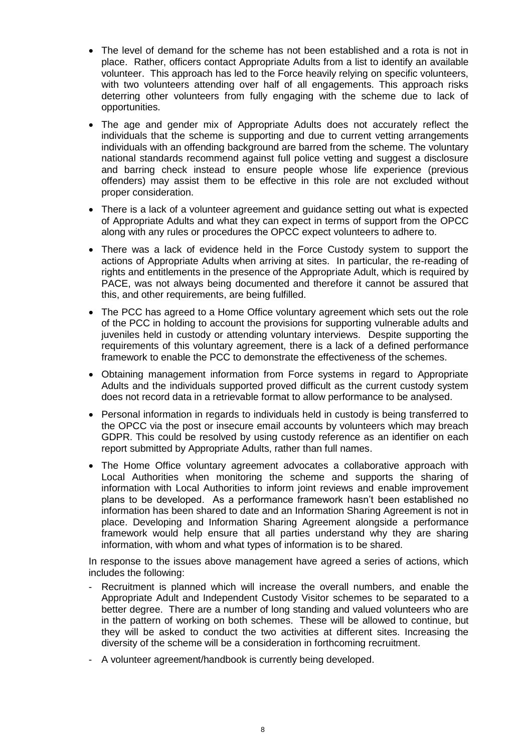- The level of demand for the scheme has not been established and a rota is not in place. Rather, officers contact Appropriate Adults from a list to identify an available volunteer. This approach has led to the Force heavily relying on specific volunteers, with two volunteers attending over half of all engagements. This approach risks deterring other volunteers from fully engaging with the scheme due to lack of opportunities.
- The age and gender mix of Appropriate Adults does not accurately reflect the individuals that the scheme is supporting and due to current vetting arrangements individuals with an offending background are barred from the scheme. The voluntary national standards recommend against full police vetting and suggest a disclosure and barring check instead to ensure people whose life experience (previous offenders) may assist them to be effective in this role are not excluded without proper consideration.
- There is a lack of a volunteer agreement and guidance setting out what is expected of Appropriate Adults and what they can expect in terms of support from the OPCC along with any rules or procedures the OPCC expect volunteers to adhere to.
- There was a lack of evidence held in the Force Custody system to support the actions of Appropriate Adults when arriving at sites. In particular, the re-reading of rights and entitlements in the presence of the Appropriate Adult, which is required by PACE, was not always being documented and therefore it cannot be assured that this, and other requirements, are being fulfilled.
- The PCC has agreed to a Home Office voluntary agreement which sets out the role of the PCC in holding to account the provisions for supporting vulnerable adults and juveniles held in custody or attending voluntary interviews. Despite supporting the requirements of this voluntary agreement, there is a lack of a defined performance framework to enable the PCC to demonstrate the effectiveness of the schemes.
- Obtaining management information from Force systems in regard to Appropriate Adults and the individuals supported proved difficult as the current custody system does not record data in a retrievable format to allow performance to be analysed.
- Personal information in regards to individuals held in custody is being transferred to the OPCC via the post or insecure email accounts by volunteers which may breach GDPR. This could be resolved by using custody reference as an identifier on each report submitted by Appropriate Adults, rather than full names.
- The Home Office voluntary agreement advocates a collaborative approach with Local Authorities when monitoring the scheme and supports the sharing of information with Local Authorities to inform joint reviews and enable improvement plans to be developed. As a performance framework hasn't been established no information has been shared to date and an Information Sharing Agreement is not in place. Developing and Information Sharing Agreement alongside a performance framework would help ensure that all parties understand why they are sharing information, with whom and what types of information is to be shared.

In response to the issues above management have agreed a series of actions, which includes the following:

- Recruitment is planned which will increase the overall numbers, and enable the Appropriate Adult and Independent Custody Visitor schemes to be separated to a better degree. There are a number of long standing and valued volunteers who are in the pattern of working on both schemes. These will be allowed to continue, but they will be asked to conduct the two activities at different sites. Increasing the diversity of the scheme will be a consideration in forthcoming recruitment.
- A volunteer agreement/handbook is currently being developed.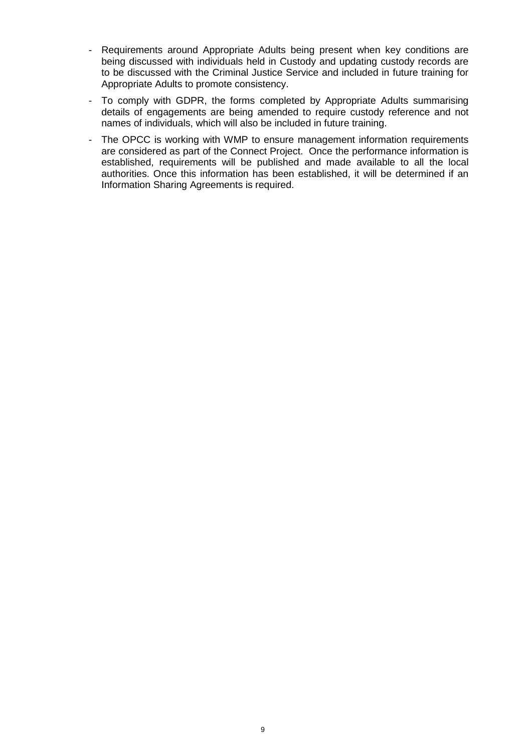- Requirements around Appropriate Adults being present when key conditions are being discussed with individuals held in Custody and updating custody records are to be discussed with the Criminal Justice Service and included in future training for Appropriate Adults to promote consistency.
- To comply with GDPR, the forms completed by Appropriate Adults summarising details of engagements are being amended to require custody reference and not names of individuals, which will also be included in future training.
- The OPCC is working with WMP to ensure management information requirements are considered as part of the Connect Project. Once the performance information is established, requirements will be published and made available to all the local authorities. Once this information has been established, it will be determined if an Information Sharing Agreements is required.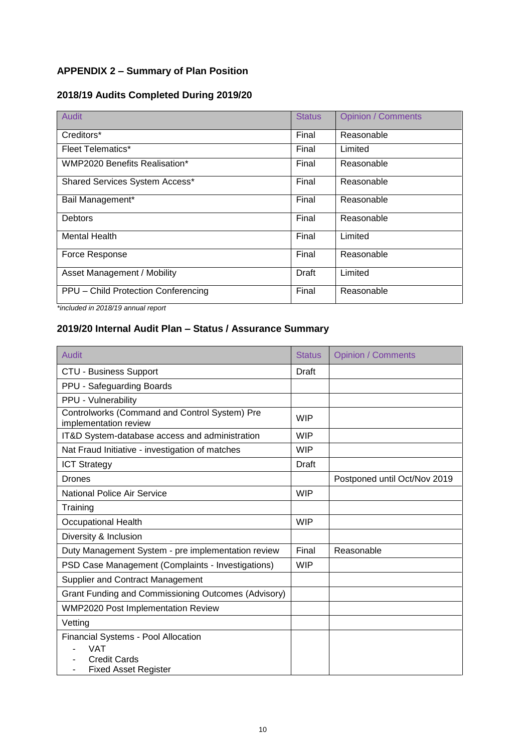## **APPENDIX 2 – Summary of Plan Position**

## **2018/19 Audits Completed During 2019/20**

| Audit                                | <b>Status</b> | <b>Opinion / Comments</b> |
|--------------------------------------|---------------|---------------------------|
| Creditors*                           | Final         | Reasonable                |
| <b>Fleet Telematics*</b>             | Final         | Limited                   |
| <b>WMP2020 Benefits Realisation*</b> | Final         | Reasonable                |
| Shared Services System Access*       | Final         | Reasonable                |
| Bail Management*                     | Final         | Reasonable                |
| <b>Debtors</b>                       | Final         | Reasonable                |
| <b>Mental Health</b>                 | Final         | Limited                   |
| Force Response                       | Final         | Reasonable                |
| Asset Management / Mobility          | Draft         | Limited                   |
| PPU - Child Protection Conferencing  | Final         | Reasonable                |

*\*included in 2018/19 annual report*

## **2019/20 Internal Audit Plan – Status / Assurance Summary**

| <b>Audit</b>                                                                                            | <b>Status</b> | <b>Opinion / Comments</b>    |
|---------------------------------------------------------------------------------------------------------|---------------|------------------------------|
| <b>CTU - Business Support</b>                                                                           | Draft         |                              |
| PPU - Safeguarding Boards                                                                               |               |                              |
| PPU - Vulnerability                                                                                     |               |                              |
| Controlworks (Command and Control System) Pre<br>implementation review                                  | <b>WIP</b>    |                              |
| IT&D System-database access and administration                                                          | <b>WIP</b>    |                              |
| Nat Fraud Initiative - investigation of matches                                                         | <b>WIP</b>    |                              |
| <b>ICT Strategy</b>                                                                                     | <b>Draft</b>  |                              |
| Drones                                                                                                  |               | Postponed until Oct/Nov 2019 |
| <b>National Police Air Service</b>                                                                      | <b>WIP</b>    |                              |
| Training                                                                                                |               |                              |
| Occupational Health                                                                                     | <b>WIP</b>    |                              |
| Diversity & Inclusion                                                                                   |               |                              |
| Duty Management System - pre implementation review                                                      | Final         | Reasonable                   |
| PSD Case Management (Complaints - Investigations)                                                       | <b>WIP</b>    |                              |
| Supplier and Contract Management                                                                        |               |                              |
| <b>Grant Funding and Commissioning Outcomes (Advisory)</b>                                              |               |                              |
| <b>WMP2020 Post Implementation Review</b>                                                               |               |                              |
| Vetting                                                                                                 |               |                              |
| Financial Systems - Pool Allocation<br><b>VAT</b><br><b>Credit Cards</b><br><b>Fixed Asset Register</b> |               |                              |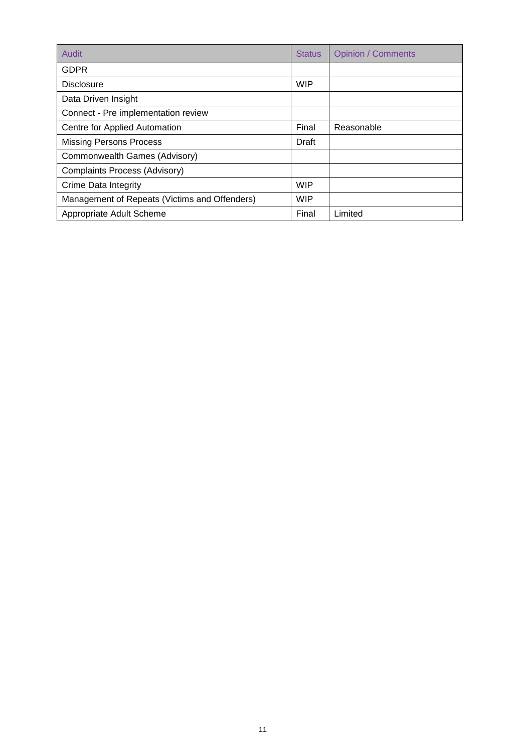| Audit                                         | <b>Status</b> | <b>Opinion / Comments</b> |
|-----------------------------------------------|---------------|---------------------------|
| <b>GDPR</b>                                   |               |                           |
| <b>Disclosure</b>                             | <b>WIP</b>    |                           |
| Data Driven Insight                           |               |                           |
| Connect - Pre implementation review           |               |                           |
| Centre for Applied Automation                 | Final         | Reasonable                |
| <b>Missing Persons Process</b>                | Draft         |                           |
| Commonwealth Games (Advisory)                 |               |                           |
| Complaints Process (Advisory)                 |               |                           |
| Crime Data Integrity                          | <b>WIP</b>    |                           |
| Management of Repeats (Victims and Offenders) | <b>WIP</b>    |                           |
| Appropriate Adult Scheme                      | Final         | Limited                   |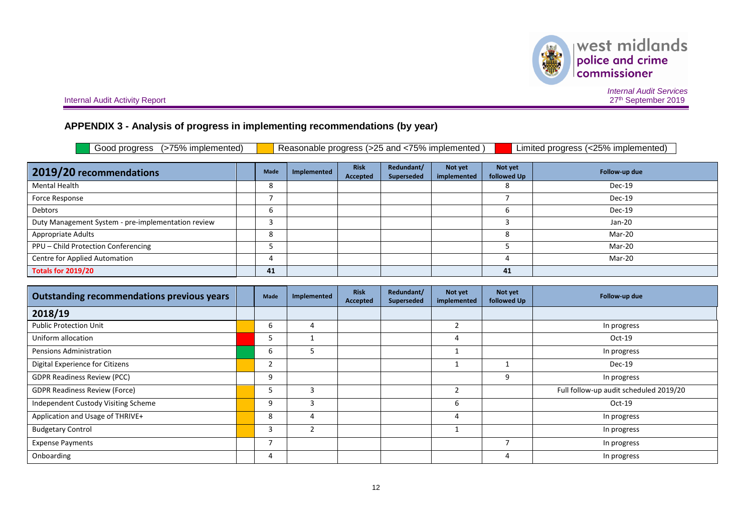| I west midlands  |
|------------------|
| police and crime |
| commissioner     |

**Internal Audit Activity Report** 

*Internal Audit Services* 27<sup>th</sup> September 2019

## **APPENDIX 3 - Analysis of progress in implementing recommendations (by year)**

| Reasonable progress (>25 and <75% implemented)<br>Good progress (>75% implemented)<br>Limited progress (<25% implemented) |  |      |             |                         |                          |                        |                        |               |
|---------------------------------------------------------------------------------------------------------------------------|--|------|-------------|-------------------------|--------------------------|------------------------|------------------------|---------------|
| 2019/20 recommendations                                                                                                   |  | Made | Implemented | <b>Risk</b><br>Accepted | Redundant/<br>Superseded | Not yet<br>implemented | Not yet<br>followed Up | Follow-up due |
| <b>Mental Health</b>                                                                                                      |  | 8    |             |                         |                          |                        | 8                      | Dec-19        |
| Force Response                                                                                                            |  |      |             |                         |                          |                        |                        | Dec-19        |
| Debtors                                                                                                                   |  | 6    |             |                         |                          |                        | b                      | Dec-19        |
| Duty Management System - pre-implementation review                                                                        |  |      |             |                         |                          |                        |                        | $Jan-20$      |
| Appropriate Adults                                                                                                        |  | 8    |             |                         |                          |                        | 8                      | Mar-20        |
| PPU - Child Protection Conferencing                                                                                       |  |      |             |                         |                          |                        |                        | Mar-20        |
| Centre for Applied Automation                                                                                             |  |      |             |                         |                          |                        | 4                      | Mar-20        |
| <b>Totals for 2019/20</b>                                                                                                 |  | 41   |             |                         |                          |                        | 41                     |               |

| <b>Outstanding recommendations previous years</b> | Made | Implemented | <b>Risk</b><br>Accepted | Redundant/<br>Superseded | Not yet<br>implemented | Not yet<br>followed Up | Follow-up due                          |
|---------------------------------------------------|------|-------------|-------------------------|--------------------------|------------------------|------------------------|----------------------------------------|
| 2018/19                                           |      |             |                         |                          |                        |                        |                                        |
| <b>Public Protection Unit</b>                     | b    |             |                         |                          | 2                      |                        | In progress                            |
| Uniform allocation                                | 5    |             |                         |                          | 4                      |                        | $Oct-19$                               |
| Pensions Administration                           | b    |             |                         |                          |                        |                        | In progress                            |
| Digital Experience for Citizens                   |      |             |                         |                          |                        |                        | Dec-19                                 |
| <b>GDPR Readiness Review (PCC)</b>                | 9    |             |                         |                          |                        | 9                      | In progress                            |
| <b>GDPR Readiness Review (Force)</b>              | ь    |             |                         |                          |                        |                        | Full follow-up audit scheduled 2019/20 |
| Independent Custody Visiting Scheme               | 9    |             |                         |                          | 6                      |                        | $Oct-19$                               |
| Application and Usage of THRIVE+                  | 8    |             |                         |                          | 4                      |                        | In progress                            |
| <b>Budgetary Control</b>                          | 3    |             |                         |                          |                        |                        | In progress                            |
| <b>Expense Payments</b>                           |      |             |                         |                          |                        | ⇁                      | In progress                            |
| Onboarding                                        | 4    |             |                         |                          |                        | 4                      | In progress                            |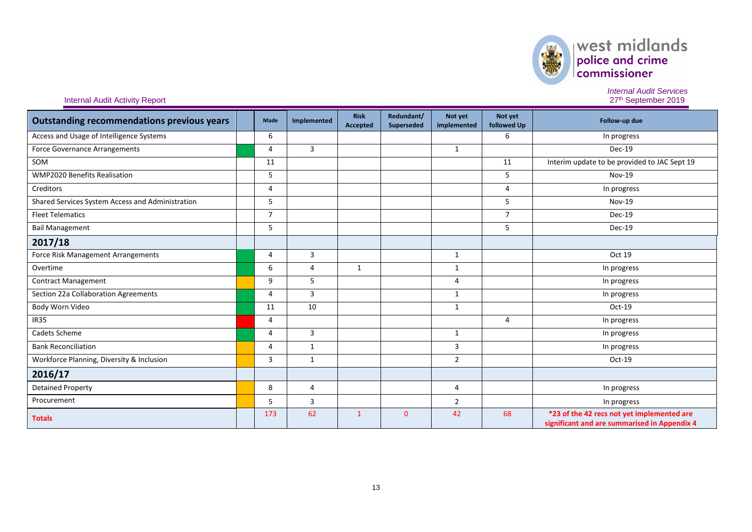| <b>Outstanding recommendations previous years</b> | Made           | Implemented    | <b>Risk</b><br><b>Accepted</b> | Redundant/<br>Superseded | Not yet<br>implemented | Not yet<br>followed Up | Follow-up due                                                                              |
|---------------------------------------------------|----------------|----------------|--------------------------------|--------------------------|------------------------|------------------------|--------------------------------------------------------------------------------------------|
| Access and Usage of Intelligence Systems          | 6              |                |                                |                          |                        | 6                      | In progress                                                                                |
| Force Governance Arrangements                     | 4              | 3              |                                |                          | $\mathbf{1}$           |                        | Dec-19                                                                                     |
| SOM                                               | 11             |                |                                |                          |                        | 11                     | Interim update to be provided to JAC Sept 19                                               |
| <b>WMP2020 Benefits Realisation</b>               | 5              |                |                                |                          |                        | 5                      | Nov-19                                                                                     |
| Creditors                                         | 4              |                |                                |                          |                        | 4                      | In progress                                                                                |
| Shared Services System Access and Administration  | 5              |                |                                |                          |                        | 5                      | <b>Nov-19</b>                                                                              |
| <b>Fleet Telematics</b>                           | $\overline{7}$ |                |                                |                          |                        | $\overline{7}$         | Dec-19                                                                                     |
| <b>Bail Management</b>                            | 5              |                |                                |                          |                        | 5                      | Dec-19                                                                                     |
| 2017/18                                           |                |                |                                |                          |                        |                        |                                                                                            |
| Force Risk Management Arrangements                | 4              | 3              |                                |                          | 1                      |                        | Oct 19                                                                                     |
| Overtime                                          | 6              | $\overline{4}$ | 1                              |                          | 1                      |                        | In progress                                                                                |
| <b>Contract Management</b>                        | 9              | 5              |                                |                          | 4                      |                        | In progress                                                                                |
| Section 22a Collaboration Agreements              | 4              | $\overline{3}$ |                                |                          | $\mathbf{1}$           |                        | In progress                                                                                |
| Body Worn Video                                   | 11             | 10             |                                |                          | 1                      |                        | $Oct-19$                                                                                   |
| <b>IR35</b>                                       | 4              |                |                                |                          |                        | 4                      | In progress                                                                                |
| Cadets Scheme                                     | 4              | 3              |                                |                          | $\mathbf{1}$           |                        | In progress                                                                                |
| <b>Bank Reconciliation</b>                        | 4              | 1              |                                |                          | 3                      |                        | In progress                                                                                |
| Workforce Planning, Diversity & Inclusion         | 3              | 1              |                                |                          | $\overline{2}$         |                        | $Oct-19$                                                                                   |
| 2016/17                                           |                |                |                                |                          |                        |                        |                                                                                            |
| <b>Detained Property</b>                          | 8              | 4              |                                |                          | 4                      |                        | In progress                                                                                |
| Procurement                                       | 5              | 3              |                                |                          | $\overline{2}$         |                        | In progress                                                                                |
| <b>Totals</b>                                     | 173            | 62             | $\overline{1}$                 | $\mathbf{0}$             | 42                     | 68                     | *23 of the 42 recs not yet implemented are<br>significant and are summarised in Appendix 4 |

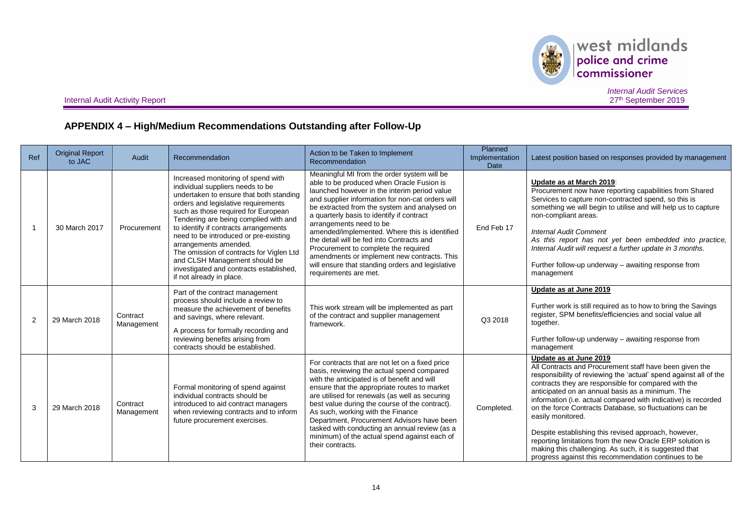

 $\begin{array}{|l|} \hline \textbf{west midlands} \\ \hline \textbf{policy and crime} \\ \textbf{commissioner} \end{array}$ 

Internal Audit Activity Report

*Internal Audit Services* 27<sup>th</sup> September 2019

## **APPENDIX 4 – High/Medium Recommendations Outstanding after Follow-Up**

| Ref | <b>Original Report</b><br>to JAC | Audit                  | Recommendation                                                                                                                                                                                                                                                                                                                                                                                                                                                                                          | Action to be Taken to Implement<br>Recommendation                                                                                                                                                                                                                                                                                                                                                                                                                                                                                                                                      | Planned<br>Implementation<br><b>Date</b> | Latest position based on responses provided by management                                                                                                                                                                                                                                                                                                                                                                                                                                                                                                                                                                                                   |
|-----|----------------------------------|------------------------|---------------------------------------------------------------------------------------------------------------------------------------------------------------------------------------------------------------------------------------------------------------------------------------------------------------------------------------------------------------------------------------------------------------------------------------------------------------------------------------------------------|----------------------------------------------------------------------------------------------------------------------------------------------------------------------------------------------------------------------------------------------------------------------------------------------------------------------------------------------------------------------------------------------------------------------------------------------------------------------------------------------------------------------------------------------------------------------------------------|------------------------------------------|-------------------------------------------------------------------------------------------------------------------------------------------------------------------------------------------------------------------------------------------------------------------------------------------------------------------------------------------------------------------------------------------------------------------------------------------------------------------------------------------------------------------------------------------------------------------------------------------------------------------------------------------------------------|
|     | 30 March 2017                    | Procurement            | Increased monitoring of spend with<br>individual suppliers needs to be<br>undertaken to ensure that both standing<br>orders and legislative requirements<br>such as those required for European<br>Tendering are being complied with and<br>to identify if contracts arrangements<br>need to be introduced or pre-existing<br>arrangements amended.<br>The omission of contracts for Viglen Ltd<br>and CLSH Management should be<br>investigated and contracts established,<br>if not already in place. | Meaningful MI from the order system will be<br>able to be produced when Oracle Fusion is<br>launched however in the interim period value<br>and supplier information for non-cat orders will<br>be extracted from the system and analysed on<br>a quarterly basis to identify if contract<br>arrangements need to be<br>amended/implemented. Where this is identified<br>the detail will be fed into Contracts and<br>Procurement to complete the required<br>amendments or implement new contracts. This<br>will ensure that standing orders and legislative<br>requirements are met. | End Feb 17                               | Update as at March 2019:<br>Procurement now have reporting capabilities from Shared<br>Services to capture non-contracted spend, so this is<br>something we will begin to utilise and will help us to capture<br>non-compliant areas.<br><b>Internal Audit Comment</b><br>As this report has not yet been embedded into practice,<br>Internal Audit will request a further update in 3 months.<br>Further follow-up underway – awaiting response from<br>management                                                                                                                                                                                         |
| 2   | 29 March 2018                    | Contract<br>Management | Part of the contract management<br>process should include a review to<br>measure the achievement of benefits<br>and savings, where relevant.<br>A process for formally recording and<br>reviewing benefits arising from<br>contracts should be established.                                                                                                                                                                                                                                             | This work stream will be implemented as part<br>of the contract and supplier management<br>framework.                                                                                                                                                                                                                                                                                                                                                                                                                                                                                  | Q3 2018                                  | Update as at June 2019<br>Further work is still required as to how to bring the Savings<br>register, SPM benefits/efficiencies and social value all<br>together.<br>Further follow-up underway - awaiting response from<br>management                                                                                                                                                                                                                                                                                                                                                                                                                       |
| 3   | 29 March 2018                    | Contract<br>Management | Formal monitoring of spend against<br>individual contracts should be<br>introduced to aid contract managers<br>when reviewing contracts and to inform<br>future procurement exercises.                                                                                                                                                                                                                                                                                                                  | For contracts that are not let on a fixed price<br>basis, reviewing the actual spend compared<br>with the anticipated is of benefit and will<br>ensure that the appropriate routes to market<br>are utilised for renewals (as well as securing<br>best value during the course of the contract).<br>As such, working with the Finance<br>Department, Procurement Advisors have been<br>tasked with conducting an annual review (as a<br>minimum) of the actual spend against each of<br>their contracts.                                                                               | Completed.                               | Update as at June 2019<br>All Contracts and Procurement staff have been given the<br>responsibility of reviewing the 'actual' spend against all of the<br>contracts they are responsible for compared with the<br>anticipated on an annual basis as a minimum. The<br>information (i.e. actual compared with indicative) is recorded<br>on the force Contracts Database, so fluctuations can be<br>easily monitored.<br>Despite establishing this revised approach, however,<br>reporting limitations from the new Oracle ERP solution is<br>making this challenging. As such, it is suggested that<br>progress against this recommendation continues to be |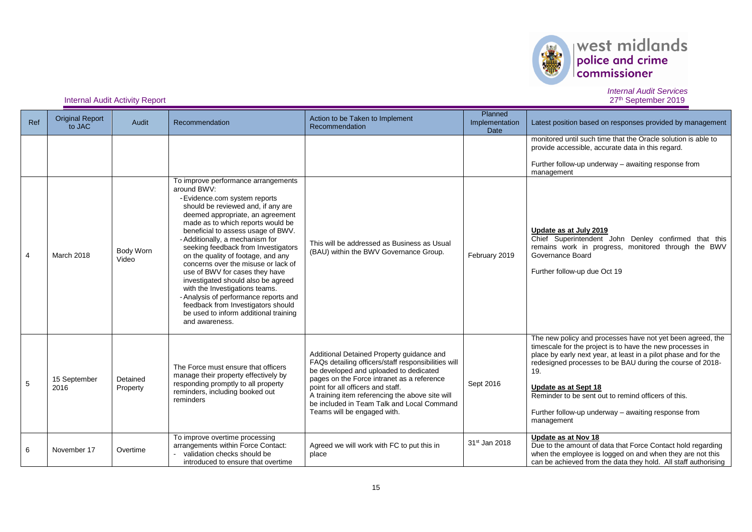

| Ref | <b>Original Report</b><br>to JAC | Audit                | Recommendation                                                                                                                                                                                                                                                                                                                                                                                                                                                                                                                                                                                                                                      | Action to be Taken to Implement<br>Recommendation                                                                                                                                                                                                                                                                                                             | Planned<br>Implementation<br><b>Date</b> | Latest position based on responses provided by management                                                                                                                                                                                                                                                                                                                                                          |
|-----|----------------------------------|----------------------|-----------------------------------------------------------------------------------------------------------------------------------------------------------------------------------------------------------------------------------------------------------------------------------------------------------------------------------------------------------------------------------------------------------------------------------------------------------------------------------------------------------------------------------------------------------------------------------------------------------------------------------------------------|---------------------------------------------------------------------------------------------------------------------------------------------------------------------------------------------------------------------------------------------------------------------------------------------------------------------------------------------------------------|------------------------------------------|--------------------------------------------------------------------------------------------------------------------------------------------------------------------------------------------------------------------------------------------------------------------------------------------------------------------------------------------------------------------------------------------------------------------|
|     |                                  |                      |                                                                                                                                                                                                                                                                                                                                                                                                                                                                                                                                                                                                                                                     |                                                                                                                                                                                                                                                                                                                                                               |                                          | monitored until such time that the Oracle solution is able to<br>provide accessible, accurate data in this regard.<br>Further follow-up underway - awaiting response from<br>management                                                                                                                                                                                                                            |
| 4   | March 2018                       | Body Worn<br>Video   | To improve performance arrangements<br>around BWV:<br>- Evidence.com system reports<br>should be reviewed and, if any are<br>deemed appropriate, an agreement<br>made as to which reports would be<br>beneficial to assess usage of BWV.<br>- Additionally, a mechanism for<br>seeking feedback from Investigators<br>on the quality of footage, and any<br>concerns over the misuse or lack of<br>use of BWV for cases they have<br>investigated should also be agreed<br>with the Investigations teams.<br>- Analysis of performance reports and<br>feedback from Investigators should<br>be used to inform additional training<br>and awareness. | This will be addressed as Business as Usual<br>(BAU) within the BWV Governance Group.                                                                                                                                                                                                                                                                         | February 2019                            | Update as at July 2019<br>Chief Superintendent John Denley confirmed that this<br>remains work in progress, monitored through the BWV<br>Governance Board<br>Further follow-up due Oct 19                                                                                                                                                                                                                          |
| 5   | 15 September<br>2016             | Detained<br>Property | The Force must ensure that officers<br>manage their property effectively by<br>responding promptly to all property<br>reminders, including booked out<br>reminders                                                                                                                                                                                                                                                                                                                                                                                                                                                                                  | Additional Detained Property guidance and<br>FAQs detailing officers/staff responsibilities will<br>be developed and uploaded to dedicated<br>pages on the Force intranet as a reference<br>point for all officers and staff.<br>A training item referencing the above site will<br>be included in Team Talk and Local Command<br>Teams will be engaged with. | Sept 2016                                | The new policy and processes have not yet been agreed, the<br>timescale for the project is to have the new processes in<br>place by early next year, at least in a pilot phase and for the<br>redesigned processes to be BAU during the course of 2018-<br>19.<br>Update as at Sept 18<br>Reminder to be sent out to remind officers of this.<br>Further follow-up underway – awaiting response from<br>management |
| 6   | November 17                      | Overtime             | To improve overtime processing<br>arrangements within Force Contact:<br>validation checks should be<br>introduced to ensure that overtime                                                                                                                                                                                                                                                                                                                                                                                                                                                                                                           | Agreed we will work with FC to put this in<br>place                                                                                                                                                                                                                                                                                                           | 31 <sup>st</sup> Jan 2018                | Update as at Nov 18<br>Due to the amount of data that Force Contact hold regarding<br>when the employee is logged on and when they are not this<br>can be achieved from the data they hold. All staff authorising                                                                                                                                                                                                  |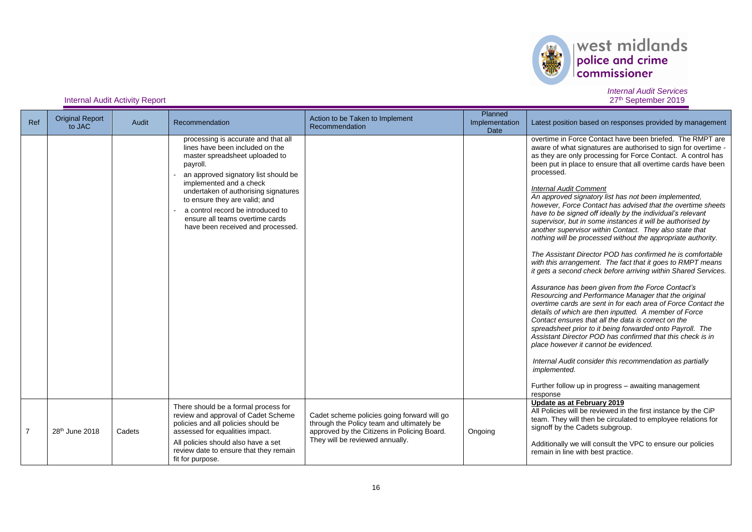

| Ref            | <b>Original Report</b><br>to JAC | Audit  | Recommendation                                                                                                                                                                                                                                                                                                                                                                | Action to be Taken to Implement<br>Recommendation                                                                                                                          | Planned<br>Implementation<br>Date | Latest position based on responses provided by management                                                                                                                                                                                                                                                                                                                                                                                                                                                                                                                                                                                                                                                                                                                                                                                                                                                                                                                                                                                                                                                                                                                                                                                                                                                                                                                                                                                                                                                |
|----------------|----------------------------------|--------|-------------------------------------------------------------------------------------------------------------------------------------------------------------------------------------------------------------------------------------------------------------------------------------------------------------------------------------------------------------------------------|----------------------------------------------------------------------------------------------------------------------------------------------------------------------------|-----------------------------------|----------------------------------------------------------------------------------------------------------------------------------------------------------------------------------------------------------------------------------------------------------------------------------------------------------------------------------------------------------------------------------------------------------------------------------------------------------------------------------------------------------------------------------------------------------------------------------------------------------------------------------------------------------------------------------------------------------------------------------------------------------------------------------------------------------------------------------------------------------------------------------------------------------------------------------------------------------------------------------------------------------------------------------------------------------------------------------------------------------------------------------------------------------------------------------------------------------------------------------------------------------------------------------------------------------------------------------------------------------------------------------------------------------------------------------------------------------------------------------------------------------|
|                |                                  |        | processing is accurate and that all<br>lines have been included on the<br>master spreadsheet uploaded to<br>payroll.<br>an approved signatory list should be<br>implemented and a check<br>undertaken of authorising signatures<br>to ensure they are valid; and<br>a control record be introduced to<br>ensure all teams overtime cards<br>have been received and processed. |                                                                                                                                                                            |                                   | overtime in Force Contact have been briefed. The RMPT are<br>aware of what signatures are authorised to sign for overtime -<br>as they are only processing for Force Contact. A control has<br>been put in place to ensure that all overtime cards have been<br>processed.<br><b>Internal Audit Comment</b><br>An approved signatory list has not been implemented,<br>however, Force Contact has advised that the overtime sheets<br>have to be signed off ideally by the individual's relevant<br>supervisor, but in some instances it will be authorised by<br>another supervisor within Contact. They also state that<br>nothing will be processed without the appropriate authority.<br>The Assistant Director POD has confirmed he is comfortable<br>with this arrangement. The fact that it goes to RMPT means<br>it gets a second check before arriving within Shared Services.<br>Assurance has been given from the Force Contact's<br>Resourcing and Performance Manager that the original<br>overtime cards are sent in for each area of Force Contact the<br>details of which are then inputted. A member of Force<br>Contact ensures that all the data is correct on the<br>spreadsheet prior to it being forwarded onto Payroll. The<br>Assistant Director POD has confirmed that this check is in<br>place however it cannot be evidenced.<br>Internal Audit consider this recommendation as partially<br>implemented.<br>Further follow up in progress - awaiting management<br>response |
| $\overline{7}$ | 28 <sup>th</sup> June 2018       | Cadets | There should be a formal process for<br>review and approval of Cadet Scheme<br>policies and all policies should be<br>assessed for equalities impact.<br>All policies should also have a set<br>review date to ensure that they remain<br>fit for purpose.                                                                                                                    | Cadet scheme policies going forward will go<br>through the Policy team and ultimately be<br>approved by the Citizens in Policing Board.<br>They will be reviewed annually. | Ongoing                           | Update as at February 2019<br>All Policies will be reviewed in the first instance by the CiP<br>team. They will then be circulated to employee relations for<br>signoff by the Cadets subgroup.<br>Additionally we will consult the VPC to ensure our policies<br>remain in line with best practice.                                                                                                                                                                                                                                                                                                                                                                                                                                                                                                                                                                                                                                                                                                                                                                                                                                                                                                                                                                                                                                                                                                                                                                                                     |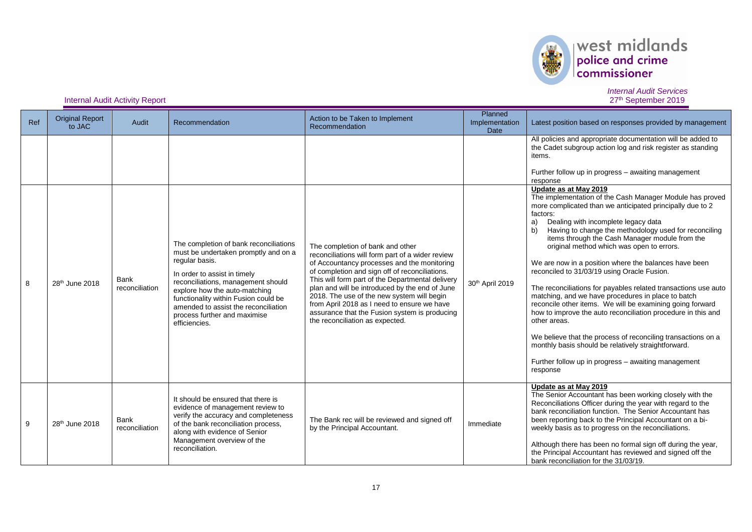

# $\left\vert \text{west midlands}\right\vert _{\text{conmissioner}}$

#### *Internal Audit Services* 27<sup>th</sup> September 2019

**Internal Audit Activity Report** 

| Ref     | <b>Original Report</b><br>to JAC | Audit                         | Recommendation                                                                                                                                                                                                                                                                                                                           | Action to be Taken to Implement<br>Recommendation                                                                                                                                                                                                                                                                                                                                                                                                                            | Planned<br>Implementation<br>Date | Latest position based on responses provided by management                                                                                                                                                                                                                                                                                                                                                                                                                                                                                                                                                                                                                                                                                                                                                                                                                                                                                    |
|---------|----------------------------------|-------------------------------|------------------------------------------------------------------------------------------------------------------------------------------------------------------------------------------------------------------------------------------------------------------------------------------------------------------------------------------|------------------------------------------------------------------------------------------------------------------------------------------------------------------------------------------------------------------------------------------------------------------------------------------------------------------------------------------------------------------------------------------------------------------------------------------------------------------------------|-----------------------------------|----------------------------------------------------------------------------------------------------------------------------------------------------------------------------------------------------------------------------------------------------------------------------------------------------------------------------------------------------------------------------------------------------------------------------------------------------------------------------------------------------------------------------------------------------------------------------------------------------------------------------------------------------------------------------------------------------------------------------------------------------------------------------------------------------------------------------------------------------------------------------------------------------------------------------------------------|
|         |                                  |                               |                                                                                                                                                                                                                                                                                                                                          |                                                                                                                                                                                                                                                                                                                                                                                                                                                                              |                                   | All policies and appropriate documentation will be added to<br>the Cadet subgroup action log and risk register as standing<br>items.<br>Further follow up in progress - awaiting management<br>response                                                                                                                                                                                                                                                                                                                                                                                                                                                                                                                                                                                                                                                                                                                                      |
| $\bf 8$ | 28 <sup>th</sup> June 2018       | <b>Bank</b><br>reconciliation | The completion of bank reconciliations<br>must be undertaken promptly and on a<br>regular basis.<br>In order to assist in timely<br>reconciliations, management should<br>explore how the auto-matching<br>functionality within Fusion could be<br>amended to assist the reconciliation<br>process further and maximise<br>efficiencies. | The completion of bank and other<br>reconciliations will form part of a wider review<br>of Accountancy processes and the monitoring<br>of completion and sign off of reconciliations.<br>This will form part of the Departmental delivery<br>plan and will be introduced by the end of June<br>2018. The use of the new system will begin<br>from April 2018 as I need to ensure we have<br>assurance that the Fusion system is producing<br>the reconciliation as expected. | 30th April 2019                   | Update as at May 2019<br>The implementation of the Cash Manager Module has proved<br>more complicated than we anticipated principally due to 2<br>factors:<br>Dealing with incomplete legacy data<br>a)<br>Having to change the methodology used for reconciling<br>b)<br>items through the Cash Manager module from the<br>original method which was open to errors.<br>We are now in a position where the balances have been<br>reconciled to 31/03/19 using Oracle Fusion.<br>The reconciliations for payables related transactions use auto<br>matching, and we have procedures in place to batch<br>reconcile other items. We will be examining going forward<br>how to improve the auto reconciliation procedure in this and<br>other areas.<br>We believe that the process of reconciling transactions on a<br>monthly basis should be relatively straightforward.<br>Further follow up in progress - awaiting management<br>response |
| 9       | 28 <sup>th</sup> June 2018       | Bank<br>reconciliation        | It should be ensured that there is<br>evidence of management review to<br>verify the accuracy and completeness<br>of the bank reconciliation process,<br>along with evidence of Senior<br>Management overview of the<br>reconciliation.                                                                                                  | The Bank rec will be reviewed and signed off<br>by the Principal Accountant.                                                                                                                                                                                                                                                                                                                                                                                                 | Immediate                         | Update as at May 2019<br>The Senior Accountant has been working closely with the<br>Reconciliations Officer during the year with regard to the<br>bank reconciliation function. The Senior Accountant has<br>been reporting back to the Principal Accountant on a bi-<br>weekly basis as to progress on the reconciliations.<br>Although there has been no formal sign off during the year,<br>the Principal Accountant has reviewed and signed off the<br>bank reconciliation for the 31/03/19.                                                                                                                                                                                                                                                                                                                                                                                                                                             |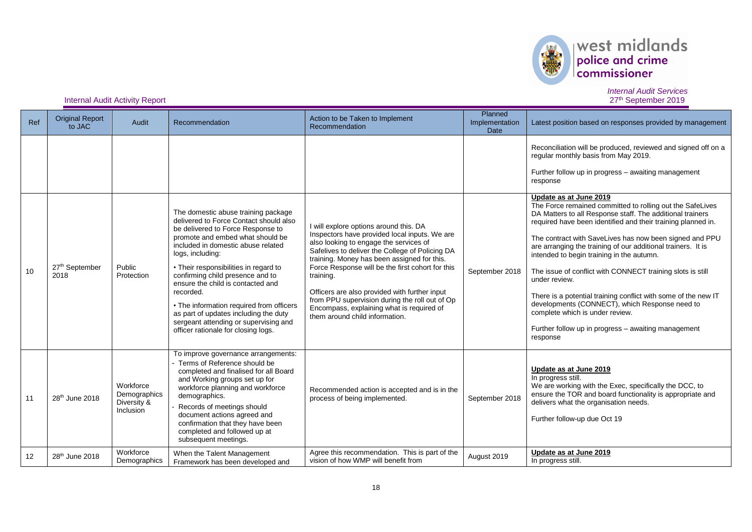

## $\left\vert \text{west midlands}\right\vert _{\text{conmissioner}}$

*Internal Audit Services* 27<sup>th</sup> September 2019

#### **Internal Audit Activity Report**

| Ref | <b>Original Report</b><br>to JAC | Audit                                                 | Recommendation                                                                                                                                                                                                                                                                                                                                                                                                                                                                                                       | Action to be Taken to Implement<br>Recommendation                                                                                                                                                                                                                                                                                                                                                                                                                                    | Planned<br>Implementation<br>Date | Latest position based on responses provided by management                                                                                                                                                                                                                                                                                                                                                                                                                                                                                                                                                                                                                                         |
|-----|----------------------------------|-------------------------------------------------------|----------------------------------------------------------------------------------------------------------------------------------------------------------------------------------------------------------------------------------------------------------------------------------------------------------------------------------------------------------------------------------------------------------------------------------------------------------------------------------------------------------------------|--------------------------------------------------------------------------------------------------------------------------------------------------------------------------------------------------------------------------------------------------------------------------------------------------------------------------------------------------------------------------------------------------------------------------------------------------------------------------------------|-----------------------------------|---------------------------------------------------------------------------------------------------------------------------------------------------------------------------------------------------------------------------------------------------------------------------------------------------------------------------------------------------------------------------------------------------------------------------------------------------------------------------------------------------------------------------------------------------------------------------------------------------------------------------------------------------------------------------------------------------|
|     |                                  |                                                       |                                                                                                                                                                                                                                                                                                                                                                                                                                                                                                                      |                                                                                                                                                                                                                                                                                                                                                                                                                                                                                      |                                   | Reconciliation will be produced, reviewed and signed off on a<br>regular monthly basis from May 2019.<br>Further follow up in progress - awaiting management<br>response                                                                                                                                                                                                                                                                                                                                                                                                                                                                                                                          |
| 10  | 27th September<br>2018           | Public<br>Protection                                  | The domestic abuse training package<br>delivered to Force Contact should also<br>be delivered to Force Response to<br>promote and embed what should be<br>included in domestic abuse related<br>logs, including:<br>• Their responsibilities in regard to<br>confirming child presence and to<br>ensure the child is contacted and<br>recorded.<br>• The information required from officers<br>as part of updates including the duty<br>sergeant attending or supervising and<br>officer rationale for closing logs. | will explore options around this. DA<br>Inspectors have provided local inputs. We are<br>also looking to engage the services of<br>Safelives to deliver the College of Policing DA<br>training. Money has been assigned for this.<br>Force Response will be the first cohort for this<br>training.<br>Officers are also provided with further input<br>from PPU supervision during the roll out of Op<br>Encompass, explaining what is required of<br>them around child information. | September 2018                    | Update as at June 2019<br>The Force remained committed to rolling out the SafeLives<br>DA Matters to all Response staff. The additional trainers<br>required have been identified and their training planned in.<br>The contract with SaveLives has now been signed and PPU<br>are arranging the training of our additional trainers. It is<br>intended to begin training in the autumn.<br>The issue of conflict with CONNECT training slots is still<br>under review.<br>There is a potential training conflict with some of the new IT<br>developments (CONNECT), which Response need to<br>complete which is under review.<br>Further follow up in progress - awaiting management<br>response |
| 11  | 28 <sup>th</sup> June 2018       | Workforce<br>Demographics<br>Diversity &<br>Inclusion | To improve governance arrangements:<br>Terms of Reference should be<br>completed and finalised for all Board<br>and Working groups set up for<br>workforce planning and workforce<br>demographics.<br>Records of meetings should<br>document actions agreed and<br>confirmation that they have been<br>completed and followed up at<br>subsequent meetings.                                                                                                                                                          | Recommended action is accepted and is in the<br>process of being implemented.                                                                                                                                                                                                                                                                                                                                                                                                        | September 2018                    | Update as at June 2019<br>In progress still.<br>We are working with the Exec, specifically the DCC, to<br>ensure the TOR and board functionality is appropriate and<br>delivers what the organisation needs.<br>Further follow-up due Oct 19                                                                                                                                                                                                                                                                                                                                                                                                                                                      |
| 12  | 28 <sup>th</sup> June 2018       | Workforce<br>Demographics                             | When the Talent Management<br>Framework has been developed and                                                                                                                                                                                                                                                                                                                                                                                                                                                       | Agree this recommendation. This is part of the<br>vision of how WMP will benefit from                                                                                                                                                                                                                                                                                                                                                                                                | August 2019                       | Update as at June 2019<br>In progress still.                                                                                                                                                                                                                                                                                                                                                                                                                                                                                                                                                                                                                                                      |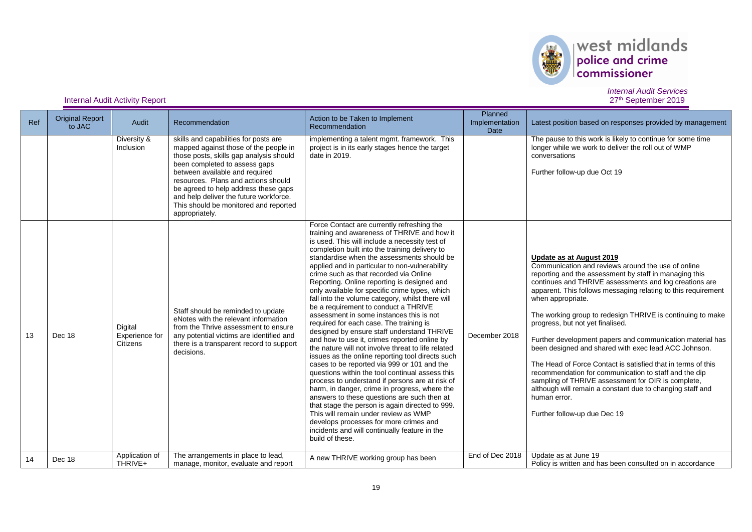

| Ref | <b>Original Report</b><br>to JAC | Audit                                 | Recommendation                                                                                                                                                                                                                                                                                                                                                                   | Action to be Taken to Implement<br>Recommendation                                                                                                                                                                                                                                                                                                                                                                                                                                                                                                                                                                                                                                                                                                                                                                                                                                                                                                                                                                                                                                                                                                                                                                                                                                                 | Planned<br>Implementation<br>Date | Latest position based on responses provided by management                                                                                                                                                                                                                                                                                                                                                                                                                                                                                                                                                                                                                                                                                                                                                   |
|-----|----------------------------------|---------------------------------------|----------------------------------------------------------------------------------------------------------------------------------------------------------------------------------------------------------------------------------------------------------------------------------------------------------------------------------------------------------------------------------|---------------------------------------------------------------------------------------------------------------------------------------------------------------------------------------------------------------------------------------------------------------------------------------------------------------------------------------------------------------------------------------------------------------------------------------------------------------------------------------------------------------------------------------------------------------------------------------------------------------------------------------------------------------------------------------------------------------------------------------------------------------------------------------------------------------------------------------------------------------------------------------------------------------------------------------------------------------------------------------------------------------------------------------------------------------------------------------------------------------------------------------------------------------------------------------------------------------------------------------------------------------------------------------------------|-----------------------------------|-------------------------------------------------------------------------------------------------------------------------------------------------------------------------------------------------------------------------------------------------------------------------------------------------------------------------------------------------------------------------------------------------------------------------------------------------------------------------------------------------------------------------------------------------------------------------------------------------------------------------------------------------------------------------------------------------------------------------------------------------------------------------------------------------------------|
|     |                                  | Diversity &<br>Inclusion              | skills and capabilities for posts are<br>mapped against those of the people in<br>those posts, skills gap analysis should<br>been completed to assess gaps<br>between available and required<br>resources. Plans and actions should<br>be agreed to help address these gaps<br>and help deliver the future workforce.<br>This should be monitored and reported<br>appropriately. | implementing a talent mgmt. framework. This<br>project is in its early stages hence the target<br>date in 2019.                                                                                                                                                                                                                                                                                                                                                                                                                                                                                                                                                                                                                                                                                                                                                                                                                                                                                                                                                                                                                                                                                                                                                                                   |                                   | The pause to this work is likely to continue for some time<br>longer while we work to deliver the roll out of WMP<br>conversations<br>Further follow-up due Oct 19                                                                                                                                                                                                                                                                                                                                                                                                                                                                                                                                                                                                                                          |
| 13  | Dec 18                           | Digital<br>Experience for<br>Citizens | Staff should be reminded to update<br>eNotes with the relevant information<br>from the Thrive assessment to ensure<br>any potential victims are identified and<br>there is a transparent record to support<br>decisions.                                                                                                                                                         | Force Contact are currently refreshing the<br>training and awareness of THRIVE and how it<br>is used. This will include a necessity test of<br>completion built into the training delivery to<br>standardise when the assessments should be<br>applied and in particular to non-vulnerability<br>crime such as that recorded via Online<br>Reporting. Online reporting is designed and<br>only available for specific crime types, which<br>fall into the volume category, whilst there will<br>be a requirement to conduct a THRIVE<br>assessment in some instances this is not<br>required for each case. The training is<br>designed by ensure staff understand THRIVE<br>and how to use it, crimes reported online by<br>the nature will not involve threat to life related<br>issues as the online reporting tool directs such<br>cases to be reported via 999 or 101 and the<br>questions within the tool continual assess this<br>process to understand if persons are at risk of<br>harm, in danger, crime in progress, where the<br>answers to these questions are such then at<br>that stage the person is again directed to 999.<br>This will remain under review as WMP<br>develops processes for more crimes and<br>incidents and will continually feature in the<br>build of these. | December 2018                     | Update as at August 2019<br>Communication and reviews around the use of online<br>reporting and the assessment by staff in managing this<br>continues and THRIVE assessments and log creations are<br>apparent. This follows messaging relating to this requirement<br>when appropriate.<br>The working group to redesign THRIVE is continuing to make<br>progress, but not yet finalised.<br>Further development papers and communication material has<br>been designed and shared with exec lead ACC Johnson.<br>The Head of Force Contact is satisfied that in terms of this<br>recommendation for communication to staff and the dip<br>sampling of THRIVE assessment for OIR is complete.<br>although will remain a constant due to changing staff and<br>human error.<br>Further follow-up due Dec 19 |
| 14  | Dec 18                           | Application of<br>THRIVE+             | The arrangements in place to lead,<br>manage, monitor, evaluate and report                                                                                                                                                                                                                                                                                                       | A new THRIVE working group has been                                                                                                                                                                                                                                                                                                                                                                                                                                                                                                                                                                                                                                                                                                                                                                                                                                                                                                                                                                                                                                                                                                                                                                                                                                                               | End of Dec 2018                   | Update as at June 19<br>Policy is written and has been consulted on in accordance                                                                                                                                                                                                                                                                                                                                                                                                                                                                                                                                                                                                                                                                                                                           |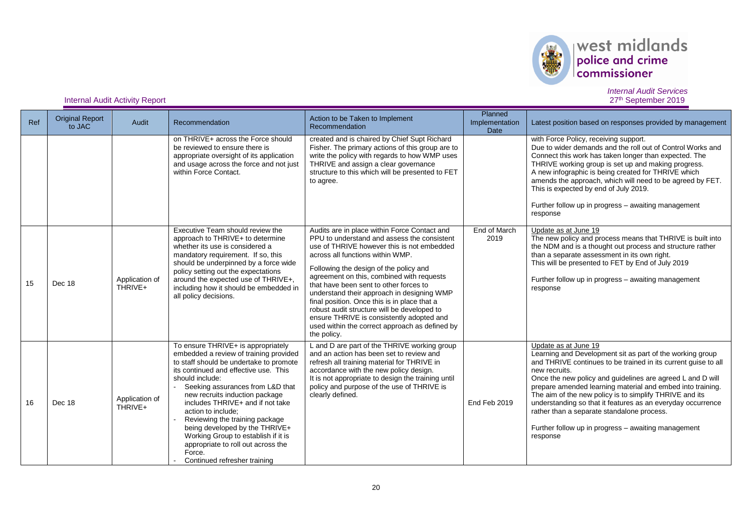

# $\left\vert \text{west midlands}\right\vert _{\text{conmissioner}}$

#### *Internal Audit Services* 27<sup>th</sup> September 2019

**Internal Audit Activity Report** 

| Ref | <b>Original Report</b><br>to JAC | Audit                     | Recommendation                                                                                                                                                                                                                                                                                                                                                                                                                                                                                                 | Action to be Taken to Implement<br>Recommendation                                                                                                                                                                                                                                                                                                                                                                                                                                                                                                                         | Planned<br>Implementation<br>Date | Latest position based on responses provided by management                                                                                                                                                                                                                                                                                                                                                                                                                                                                                   |
|-----|----------------------------------|---------------------------|----------------------------------------------------------------------------------------------------------------------------------------------------------------------------------------------------------------------------------------------------------------------------------------------------------------------------------------------------------------------------------------------------------------------------------------------------------------------------------------------------------------|---------------------------------------------------------------------------------------------------------------------------------------------------------------------------------------------------------------------------------------------------------------------------------------------------------------------------------------------------------------------------------------------------------------------------------------------------------------------------------------------------------------------------------------------------------------------------|-----------------------------------|---------------------------------------------------------------------------------------------------------------------------------------------------------------------------------------------------------------------------------------------------------------------------------------------------------------------------------------------------------------------------------------------------------------------------------------------------------------------------------------------------------------------------------------------|
|     |                                  |                           | on THRIVE+ across the Force should<br>be reviewed to ensure there is<br>appropriate oversight of its application<br>and usage across the force and not just<br>within Force Contact.                                                                                                                                                                                                                                                                                                                           | created and is chaired by Chief Supt Richard<br>Fisher. The primary actions of this group are to<br>write the policy with regards to how WMP uses<br>THRIVE and assign a clear governance<br>structure to this which will be presented to FET<br>to agree.                                                                                                                                                                                                                                                                                                                |                                   | with Force Policy, receiving support.<br>Due to wider demands and the roll out of Control Works and<br>Connect this work has taken longer than expected. The<br>THRIVE working group is set up and making progress.<br>A new infographic is being created for THRIVE which<br>amends the approach, which will need to be agreed by FET.<br>This is expected by end of July 2019.<br>Further follow up in progress - awaiting management<br>response                                                                                         |
| 15  | Dec 18                           | Application of<br>THRIVE+ | Executive Team should review the<br>approach to THRIVE+ to determine<br>whether its use is considered a<br>mandatory requirement. If so, this<br>should be underpinned by a force wide<br>policy setting out the expectations<br>around the expected use of THRIVE+,<br>including how it should be embedded in<br>all policy decisions.                                                                                                                                                                        | Audits are in place within Force Contact and<br>PPU to understand and assess the consistent<br>use of THRIVE however this is not embedded<br>across all functions within WMP.<br>Following the design of the policy and<br>agreement on this, combined with requests<br>that have been sent to other forces to<br>understand their approach in designing WMP<br>final position. Once this is in place that a<br>robust audit structure will be developed to<br>ensure THRIVE is consistently adopted and<br>used within the correct approach as defined by<br>the policy. | End of March<br>2019              | Update as at June 19<br>The new policy and process means that THRIVE is built into<br>the NDM and is a thought out process and structure rather<br>than a separate assessment in its own right.<br>This will be presented to FET by End of July 2019<br>Further follow up in progress - awaiting management<br>response                                                                                                                                                                                                                     |
| 16  | Dec 18                           | Application of<br>THRIVE+ | To ensure THRIVE+ is appropriately<br>embedded a review of training provided<br>to staff should be undertake to promote<br>its continued and effective use. This<br>should include:<br>Seeking assurances from L&D that<br>new recruits induction package<br>includes THRIVE+ and if not take<br>action to include:<br>Reviewing the training package<br>being developed by the THRIVE+<br>Working Group to establish if it is<br>appropriate to roll out across the<br>Force.<br>Continued refresher training | L and D are part of the THRIVE working group<br>and an action has been set to review and<br>refresh all training material for THRIVE in<br>accordance with the new policy design.<br>It is not appropriate to design the training until<br>policy and purpose of the use of THRIVE is<br>clearly defined.                                                                                                                                                                                                                                                                 | End Feb 2019                      | Update as at June 19<br>Learning and Development sit as part of the working group<br>and THRIVE continues to be trained in its current guise to all<br>new recruits.<br>Once the new policy and guidelines are agreed L and D will<br>prepare amended learning material and embed into training.<br>The aim of the new policy is to simplify THRIVE and its<br>understanding so that it features as an everyday occurrence<br>rather than a separate standalone process.<br>Further follow up in progress - awaiting management<br>response |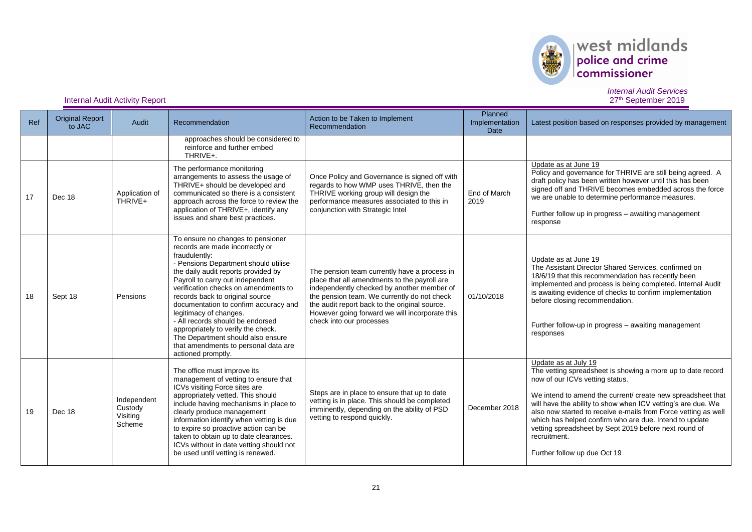

## west midlands

*Internal Audit Services* 27<sup>th</sup> September 2019

### **Internal Audit Activity Report**

| Ref | <b>Original Report</b><br>to JAC | Audit                                        | Recommendation                                                                                                                                                                                                                                                                                                                                                                                                                                                                                                                      | Action to be Taken to Implement<br>Recommendation                                                                                                                                                                                                                                                                        | Planned<br>Implementation<br><b>Date</b> | Latest position based on responses provided by management                                                                                                                                                                                                                                                                                                                                                                                                                                  |
|-----|----------------------------------|----------------------------------------------|-------------------------------------------------------------------------------------------------------------------------------------------------------------------------------------------------------------------------------------------------------------------------------------------------------------------------------------------------------------------------------------------------------------------------------------------------------------------------------------------------------------------------------------|--------------------------------------------------------------------------------------------------------------------------------------------------------------------------------------------------------------------------------------------------------------------------------------------------------------------------|------------------------------------------|--------------------------------------------------------------------------------------------------------------------------------------------------------------------------------------------------------------------------------------------------------------------------------------------------------------------------------------------------------------------------------------------------------------------------------------------------------------------------------------------|
|     |                                  |                                              | approaches should be considered to<br>reinforce and further embed<br>THRIVE+.                                                                                                                                                                                                                                                                                                                                                                                                                                                       |                                                                                                                                                                                                                                                                                                                          |                                          |                                                                                                                                                                                                                                                                                                                                                                                                                                                                                            |
| 17  | Dec 18                           | Application of<br>THRIVE+                    | The performance monitoring<br>arrangements to assess the usage of<br>THRIVE+ should be developed and<br>communicated so there is a consistent<br>approach across the force to review the<br>application of THRIVE+, identify any<br>issues and share best practices.                                                                                                                                                                                                                                                                | Once Policy and Governance is signed off with<br>regards to how WMP uses THRIVE, then the<br>THRIVE working group will design the<br>performance measures associated to this in<br>conjunction with Strategic Intel                                                                                                      | End of March<br>2019                     | Update as at June 19<br>Policy and governance for THRIVE are still being agreed. A<br>draft policy has been written however until this has been<br>signed off and THRIVE becomes embedded across the force<br>we are unable to determine performance measures.<br>Further follow up in progress - awaiting management<br>response                                                                                                                                                          |
| 18  | Sept 18                          | Pensions                                     | To ensure no changes to pensioner<br>records are made incorrectly or<br>fraudulently:<br>- Pensions Department should utilise<br>the daily audit reports provided by<br>Payroll to carry out independent<br>verification checks on amendments to<br>records back to original source<br>documentation to confirm accuracy and<br>legitimacy of changes.<br>- All records should be endorsed<br>appropriately to verify the check.<br>The Department should also ensure<br>that amendments to personal data are<br>actioned promptly. | The pension team currently have a process in<br>place that all amendments to the payroll are<br>independently checked by another member of<br>the pension team. We currently do not check<br>the audit report back to the original source.<br>However going forward we will incorporate this<br>check into our processes | 01/10/2018                               | Update as at June 19<br>The Assistant Director Shared Services, confirmed on<br>18/6/19 that this recommendation has recently been<br>implemented and process is being completed. Internal Audit<br>is awaiting evidence of checks to confirm implementation<br>before closing recommendation.<br>Further follow-up in progress - awaiting management<br>responses                                                                                                                         |
| 19  | Dec 18                           | Independent<br>Custody<br>Visiting<br>Scheme | The office must improve its<br>management of vetting to ensure that<br>ICVs visiting Force sites are<br>appropriately vetted. This should<br>include having mechanisms in place to<br>clearly produce management<br>information identify when vetting is due<br>to expire so proactive action can be<br>taken to obtain up to date clearances.<br>ICVs without in date vetting should not<br>be used until vetting is renewed.                                                                                                      | Steps are in place to ensure that up to date<br>vetting is in place. This should be completed<br>imminently, depending on the ability of PSD<br>vetting to respond quickly.                                                                                                                                              | December 2018                            | Update as at July 19<br>The vetting spreadsheet is showing a more up to date record<br>now of our ICVs vetting status.<br>We intend to amend the current/ create new spreadsheet that<br>will have the ability to show when ICV vetting's are due. We<br>also now started to receive e-mails from Force vetting as well<br>which has helped confirm who are due. Intend to update<br>vetting spreadsheet by Sept 2019 before next round of<br>recruitment.<br>Further follow up due Oct 19 |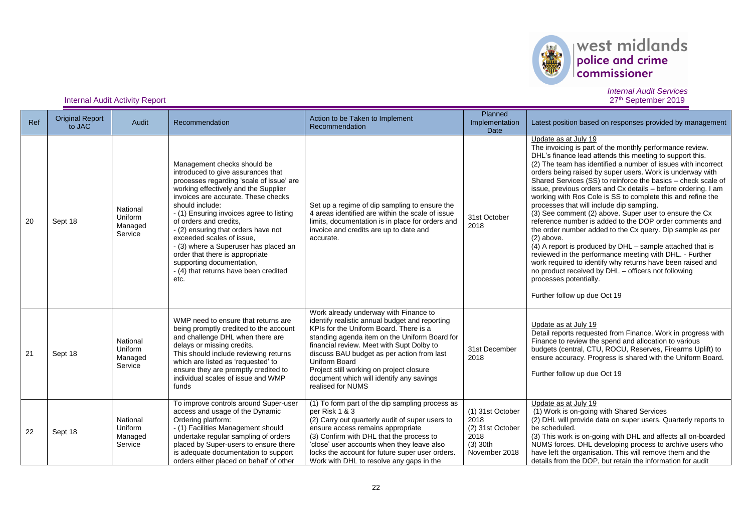

## west midlands

### **Internal Audit Activity Report**

| Ref | <b>Original Report</b><br>to JAC | Audit                                     | Recommendation                                                                                                                                                                                                                                                                                                                                                                                                                                                                                                      | Action to be Taken to Implement<br>Recommendation                                                                                                                                                                                                                                                                                                                                                           | Planned<br>Implementation<br>Date                                                   | Latest position based on responses provided by management                                                                                                                                                                                                                                                                                                                                                                                                                                                                                                                                                                                                                                                                                                                                                                                                                                                                                                                                                                         |
|-----|----------------------------------|-------------------------------------------|---------------------------------------------------------------------------------------------------------------------------------------------------------------------------------------------------------------------------------------------------------------------------------------------------------------------------------------------------------------------------------------------------------------------------------------------------------------------------------------------------------------------|-------------------------------------------------------------------------------------------------------------------------------------------------------------------------------------------------------------------------------------------------------------------------------------------------------------------------------------------------------------------------------------------------------------|-------------------------------------------------------------------------------------|-----------------------------------------------------------------------------------------------------------------------------------------------------------------------------------------------------------------------------------------------------------------------------------------------------------------------------------------------------------------------------------------------------------------------------------------------------------------------------------------------------------------------------------------------------------------------------------------------------------------------------------------------------------------------------------------------------------------------------------------------------------------------------------------------------------------------------------------------------------------------------------------------------------------------------------------------------------------------------------------------------------------------------------|
| 20  | Sept 18                          | National<br>Uniform<br>Managed<br>Service | Management checks should be<br>introduced to give assurances that<br>processes regarding 'scale of issue' are<br>working effectively and the Supplier<br>invoices are accurate. These checks<br>should include:<br>- (1) Ensuring invoices agree to listing<br>of orders and credits.<br>- (2) ensuring that orders have not<br>exceeded scales of issue.<br>- (3) where a Superuser has placed an<br>order that there is appropriate<br>supporting documentation,<br>- (4) that returns have been credited<br>etc. | Set up a regime of dip sampling to ensure the<br>4 areas identified are within the scale of issue<br>limits, documentation is in place for orders and<br>invoice and credits are up to date and<br>accurate.                                                                                                                                                                                                | 31st October<br>2018                                                                | Update as at July 19<br>The invoicing is part of the monthly performance review.<br>DHL's finance lead attends this meeting to support this.<br>(2) The team has identified a number of issues with incorrect<br>orders being raised by super users. Work is underway with<br>Shared Services (SS) to reinforce the basics – check scale of<br>issue, previous orders and Cx details – before ordering. I am<br>working with Ros Cole is SS to complete this and refine the<br>processes that will include dip sampling.<br>(3) See comment (2) above. Super user to ensure the Cx<br>reference number is added to the DOP order comments and<br>the order number added to the Cx query. Dip sample as per<br>$(2)$ above.<br>(4) A report is produced by DHL - sample attached that is<br>reviewed in the performance meeting with DHL. - Further<br>work required to identify why returns have been raised and<br>no product received by DHL - officers not following<br>processes potentially.<br>Further follow up due Oct 19 |
| 21  | Sept 18                          | National<br>Uniform<br>Managed<br>Service | WMP need to ensure that returns are<br>being promptly credited to the account<br>and challenge DHL when there are<br>delays or missing credits.<br>This should include reviewing returns<br>which are listed as 'requested' to<br>ensure they are promptly credited to<br>individual scales of issue and WMP<br>funds                                                                                                                                                                                               | Work already underway with Finance to<br>identify realistic annual budget and reporting<br>KPIs for the Uniform Board. There is a<br>standing agenda item on the Uniform Board for<br>financial review. Meet with Supt Dolby to<br>discuss BAU budget as per action from last<br>Uniform Board<br>Project still working on project closure<br>document which will identify any savings<br>realised for NUMS | 31st December<br>2018                                                               | Update as at July 19<br>Detail reports requested from Finance. Work in progress with<br>Finance to review the spend and allocation to various<br>budgets (central, CTU, ROCU, Reserves, Firearms Uplift) to<br>ensure accuracy. Progress is shared with the Uniform Board.<br>Further follow up due Oct 19                                                                                                                                                                                                                                                                                                                                                                                                                                                                                                                                                                                                                                                                                                                        |
| 22  | Sept 18                          | National<br>Uniform<br>Managed<br>Service | To improve controls around Super-user<br>access and usage of the Dynamic<br>Ordering platform:<br>- (1) Facilities Management should<br>undertake regular sampling of orders<br>placed by Super-users to ensure there<br>is adequate documentation to support<br>orders either placed on behalf of other                                                                                                                                                                                                            | (1) To form part of the dip sampling process as<br>per Risk 1 & 3<br>(2) Carry out quarterly audit of super users to<br>ensure access remains appropriate<br>(3) Confirm with DHL that the process to<br>'close' user accounts when they leave also<br>locks the account for future super user orders.<br>Work with DHL to resolve any gaps in the                                                          | (1) 31st October<br>2018<br>(2) 31st October<br>2018<br>$(3)$ 30th<br>November 2018 | Update as at July 19<br>(1) Work is on-going with Shared Services<br>(2) DHL will provide data on super users. Quarterly reports to<br>be scheduled.<br>(3) This work is on-going with DHL and affects all on-boarded<br>NUMS forces. DHL developing process to archive users who<br>have left the organisation. This will remove them and the<br>details from the DOP, but retain the information for audit                                                                                                                                                                                                                                                                                                                                                                                                                                                                                                                                                                                                                      |